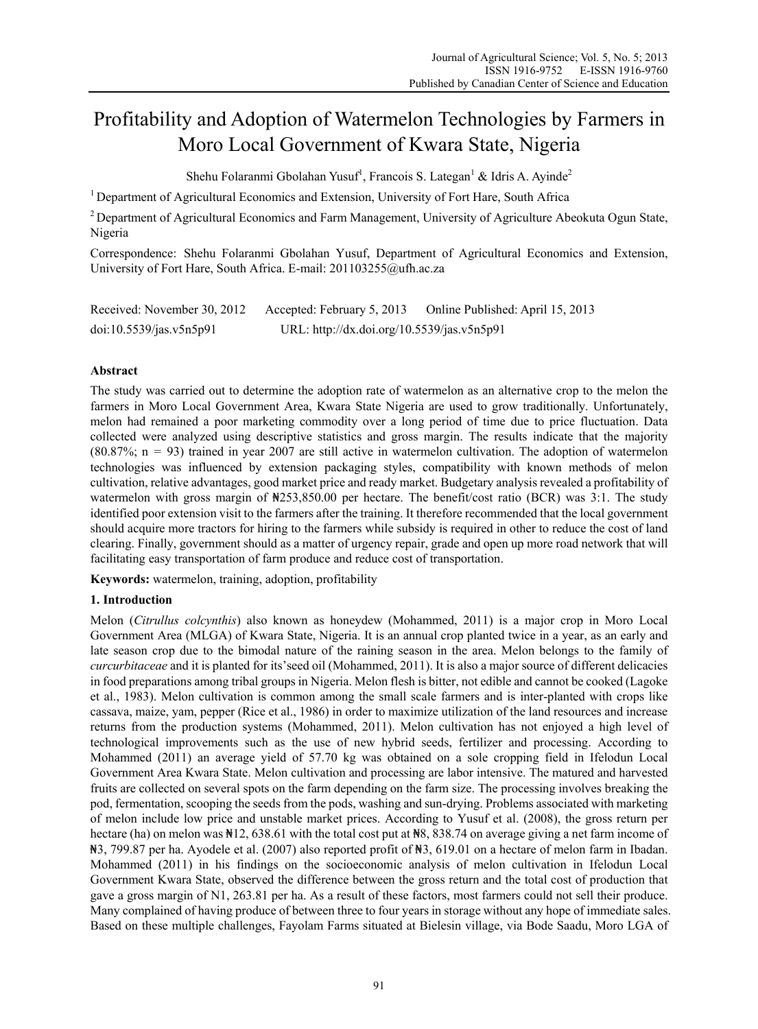# Profitability and Adoption of Watermelon Technologies by Farmers in Moro Local Government of Kwara State, Nigeria

Shehu Folaranmi Gbolahan Yusuf<sup>1</sup>, Francois S. Lategan<sup>1</sup> & Idris A. Ayinde<sup>2</sup>

<sup>1</sup> Department of Agricultural Economics and Extension, University of Fort Hare, South Africa

<sup>2</sup> Department of Agricultural Economics and Farm Management, University of Agriculture Abeokuta Ogun State, Nigeria

Correspondence: Shehu Folaranmi Gbolahan Yusuf, Department of Agricultural Economics and Extension, University of Fort Hare, South Africa. E-mail: 201103255@ufh.ac.za

| Received: November 30, 2012 | Accepted: February 5, 2013                 | Online Published: April 15, 2013 |
|-----------------------------|--------------------------------------------|----------------------------------|
| doi:10.5539/jas.v5n5p91     | URL: http://dx.doi.org/10.5539/jas.v5n5p91 |                                  |

# **Abstract**

The study was carried out to determine the adoption rate of watermelon as an alternative crop to the melon the farmers in Moro Local Government Area, Kwara State Nigeria are used to grow traditionally. Unfortunately, melon had remained a poor marketing commodity over a long period of time due to price fluctuation. Data collected were analyzed using descriptive statistics and gross margin. The results indicate that the majority (80.87%; n = 93) trained in year 2007 are still active in watermelon cultivation. The adoption of watermelon technologies was influenced by extension packaging styles, compatibility with known methods of melon cultivation, relative advantages, good market price and ready market. Budgetary analysis revealed a profitability of watermelon with gross margin of  $\frac{1}{253,850.00}$  per hectare. The benefit/cost ratio (BCR) was 3:1. The study identified poor extension visit to the farmers after the training. It therefore recommended that the local government should acquire more tractors for hiring to the farmers while subsidy is required in other to reduce the cost of land clearing. Finally, government should as a matter of urgency repair, grade and open up more road network that will facilitating easy transportation of farm produce and reduce cost of transportation.

**Keywords:** watermelon, training, adoption, profitability

# **1. Introduction**

Melon (*Citrullus colcynthis*) also known as honeydew (Mohammed, 2011) is a major crop in Moro Local Government Area (MLGA) of Kwara State, Nigeria. It is an annual crop planted twice in a year, as an early and late season crop due to the bimodal nature of the raining season in the area. Melon belongs to the family of *curcurbitaceae* and it is planted for its'seed oil (Mohammed, 2011). It is also a major source of different delicacies in food preparations among tribal groups in Nigeria. Melon flesh is bitter, not edible and cannot be cooked (Lagoke et al., 1983). Melon cultivation is common among the small scale farmers and is inter-planted with crops like cassava, maize, yam, pepper (Rice et al., 1986) in order to maximize utilization of the land resources and increase returns from the production systems (Mohammed, 2011). Melon cultivation has not enjoyed a high level of technological improvements such as the use of new hybrid seeds, fertilizer and processing. According to Mohammed (2011) an average yield of 57.70 kg was obtained on a sole cropping field in Ifelodun Local Government Area Kwara State. Melon cultivation and processing are labor intensive. The matured and harvested fruits are collected on several spots on the farm depending on the farm size. The processing involves breaking the pod, fermentation, scooping the seeds from the pods, washing and sun-drying. Problems associated with marketing of melon include low price and unstable market prices. According to Yusuf et al. (2008), the gross return per hectare (ha) on melon was  $\text{N}12$ , 638.61 with the total cost put at  $\text{N}8$ , 838.74 on average giving a net farm income of ₦3, 799.87 per ha. Ayodele et al. (2007) also reported profit of ₦3, 619.01 on a hectare of melon farm in Ibadan. Mohammed (2011) in his findings on the socioeconomic analysis of melon cultivation in Ifelodun Local Government Kwara State, observed the difference between the gross return and the total cost of production that gave a gross margin of N1, 263.81 per ha. As a result of these factors, most farmers could not sell their produce. Many complained of having produce of between three to four years in storage without any hope of immediate sales. Based on these multiple challenges, Fayolam Farms situated at Bielesin village, via Bode Saadu, Moro LGA of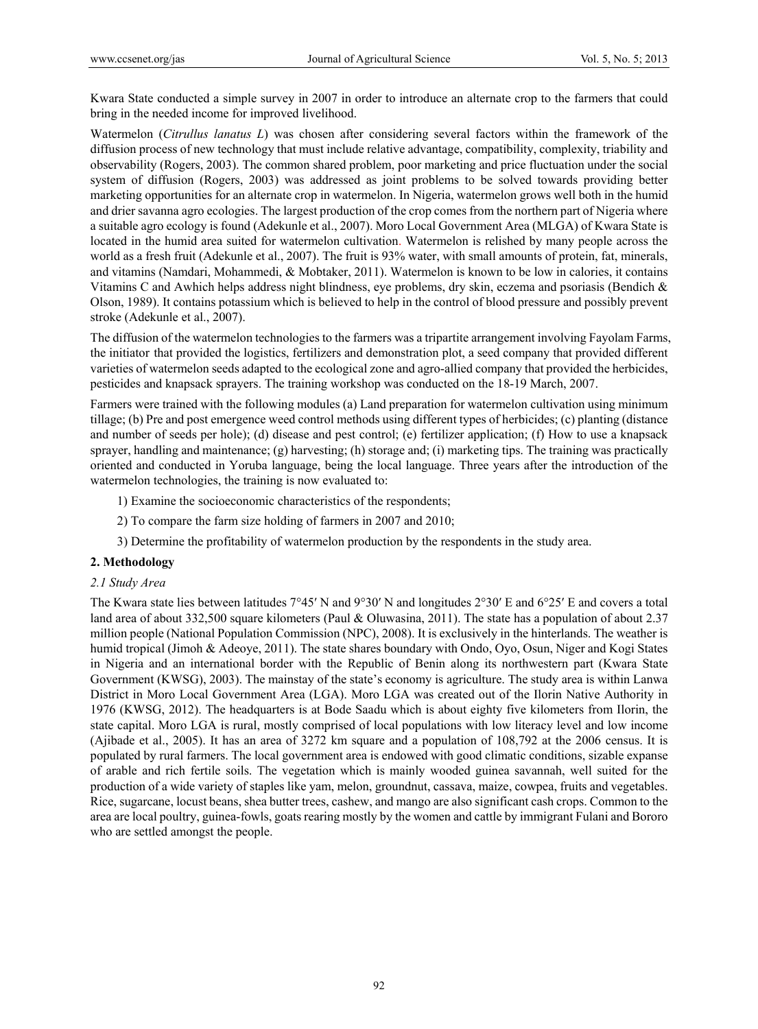Kwara State conducted a simple survey in 2007 in order to introduce an alternate crop to the farmers that could bring in the needed income for improved livelihood.

Watermelon (*Citrullus lanatus L*) was chosen after considering several factors within the framework of the diffusion process of new technology that must include relative advantage, compatibility, complexity, triability and observability (Rogers, 2003). The common shared problem, poor marketing and price fluctuation under the social system of diffusion (Rogers, 2003) was addressed as joint problems to be solved towards providing better marketing opportunities for an alternate crop in watermelon. In Nigeria, watermelon grows well both in the humid and drier savanna agro ecologies. The largest production of the crop comes from the northern part of Nigeria where a suitable agro ecology is found (Adekunle et al., 2007). Moro Local Government Area (MLGA) of Kwara State is located in the humid area suited for watermelon cultivation. Watermelon is relished by many people across the world as a fresh fruit (Adekunle et al., 2007). The fruit is 93% water, with small amounts of protein, fat, minerals, and vitamins (Namdari, Mohammedi, & Mobtaker, 2011). Watermelon is known to be low in calories, it contains Vitamins C and Awhich helps address night blindness, eye problems, dry skin, eczema and psoriasis (Bendich & Olson, 1989). It contains potassium which is believed to help in the control of blood pressure and possibly prevent stroke (Adekunle et al., 2007).

The diffusion of the watermelon technologies to the farmers was a tripartite arrangement involving Fayolam Farms, the initiator that provided the logistics, fertilizers and demonstration plot, a seed company that provided different varieties of watermelon seeds adapted to the ecological zone and agro-allied company that provided the herbicides, pesticides and knapsack sprayers. The training workshop was conducted on the 18-19 March, 2007.

Farmers were trained with the following modules (a) Land preparation for watermelon cultivation using minimum tillage; (b) Pre and post emergence weed control methods using different types of herbicides; (c) planting (distance and number of seeds per hole); (d) disease and pest control; (e) fertilizer application; (f) How to use a knapsack sprayer, handling and maintenance; (g) harvesting; (h) storage and; (i) marketing tips. The training was practically oriented and conducted in Yoruba language, being the local language. Three years after the introduction of the watermelon technologies, the training is now evaluated to:

1) Examine the socioeconomic characteristics of the respondents;

- 2) To compare the farm size holding of farmers in 2007 and 2010;
- 3) Determine the profitability of watermelon production by the respondents in the study area.

# **2. Methodology**

#### *2.1 Study Area*

The Kwara state lies between latitudes 7°45′ N and 9°30′ N and longitudes 2°30′ E and 6°25′ E and covers a total land area of about 332,500 square kilometers (Paul & Oluwasina, 2011). The state has a population of about 2.37 million people (National Population Commission (NPC), 2008). It is exclusively in the hinterlands. The weather is humid tropical (Jimoh & Adeoye, 2011). The state shares boundary with Ondo, Oyo, Osun, Niger and Kogi States in Nigeria and an international border with the Republic of Benin along its northwestern part (Kwara State Government (KWSG), 2003). The mainstay of the state's economy is agriculture. The study area is within Lanwa District in Moro Local Government Area (LGA). Moro LGA was created out of the Ilorin Native Authority in 1976 (KWSG, 2012). The headquarters is at Bode Saadu which is about eighty five kilometers from Ilorin, the state capital. Moro LGA is rural, mostly comprised of local populations with low literacy level and low income (Ajibade et al., 2005). It has an area of 3272 km square and a population of 108,792 at the 2006 census. It is populated by rural farmers. The local government area is endowed with good climatic conditions, sizable expanse of arable and rich fertile soils. The vegetation which is mainly wooded guinea savannah, well suited for the production of a wide variety of staples like yam, melon, groundnut, cassava, maize, cowpea, fruits and vegetables. Rice, sugarcane, locust beans, shea butter trees, cashew, and mango are also significant cash crops. Common to the area are local poultry, guinea-fowls, goats rearing mostly by the women and cattle by immigrant Fulani and Bororo who are settled amongst the people.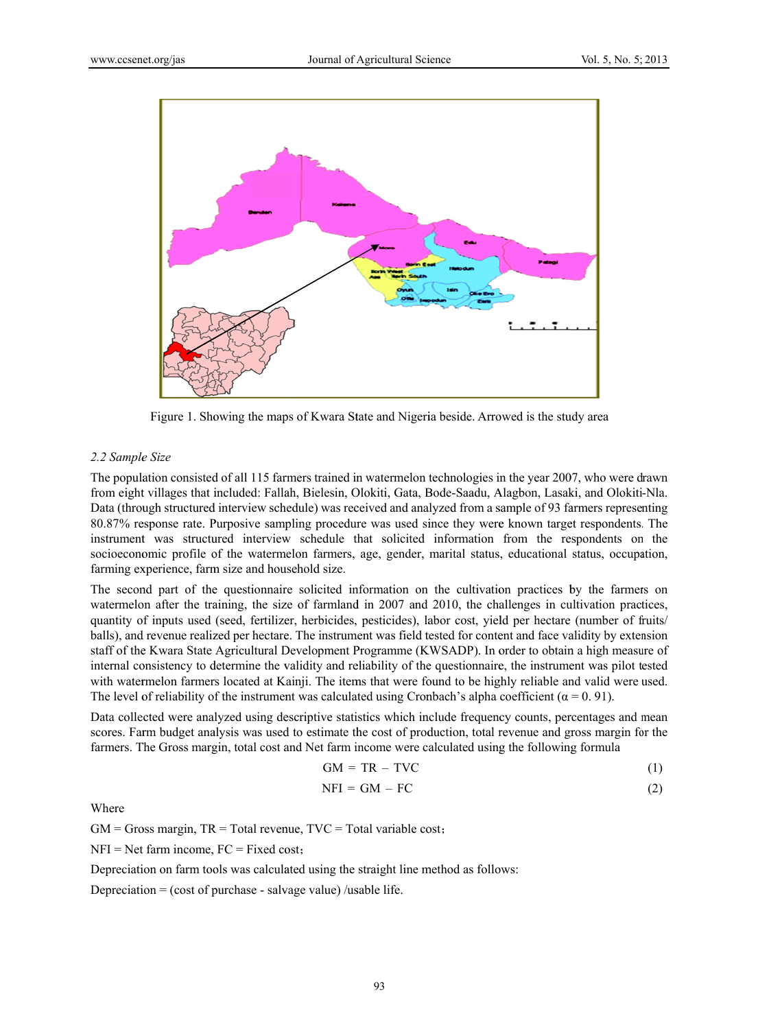

Figure 1. Showing the maps of Kwara State and Nigeria beside. Arrowed is the study area

## 2.2 Sample Size

The population consisted of all 115 farmers trained in watermelon technologies in the year 2007, who were drawn from eight villages that included: Fallah, Bielesin, Olokiti, Gata, Bode-Saadu, Alagbon, Lasaki, and Olokiti-Nla. Data (through structured interview schedule) was received and analyzed from a sample of 93 farmers representing 80.87% response rate. Purposive sampling procedure was used since they were known target respondents. The instrument was structured interview schedule that solicited information from the respondents on the socioeconomic profile of the watermelon farmers, age, gender, marital status, educational status, occupation, farming experience, farm size and household size.

The second part of the questionnaire solicited information on the cultivation practices by the farmers on watermelon after the training, the size of farmland in 2007 and 2010, the challenges in cultivation practices, quantity of inputs used (seed, fertilizer, herbicides, pesticides), labor cost, yield per hectare (number of fruits/ balls), and revenue realized per hectare. The instrument was field tested for content and face validity by extension staff of the Kwara State Agricultural Development Programme (KWSADP). In order to obtain a high measure of internal consistency to determine the validity and reliability of the questionnaire, the instrument was pilot tested with watermelon farmers located at Kainji. The items that were found to be highly reliable and valid were used. The level of reliability of the instrument was calculated using Cronbach's alpha coefficient ( $\alpha = 0.91$ ).

Data collected were analyzed using descriptive statistics which include frequency counts, percentages and mean scores. Farm budget analysis was used to estimate the cost of production, total revenue and gross margin for the farmers. The Gross margin, total cost and Net farm income were calculated using the following formula

$$
GM = TR - TVC \tag{1}
$$

$$
NFI = GM - FC \tag{2}
$$

Where

 $GM = Gross$  margin,  $TR = Total$  revenue,  $TVC = Total$  variable cost;

 $NFI = Net farm income, FC = Fixed cost;$ 

Depreciation on farm tools was calculated using the straight line method as follows:

Depreciation =  $(\text{cost of purchase} - \text{salvage value})$ /usable life.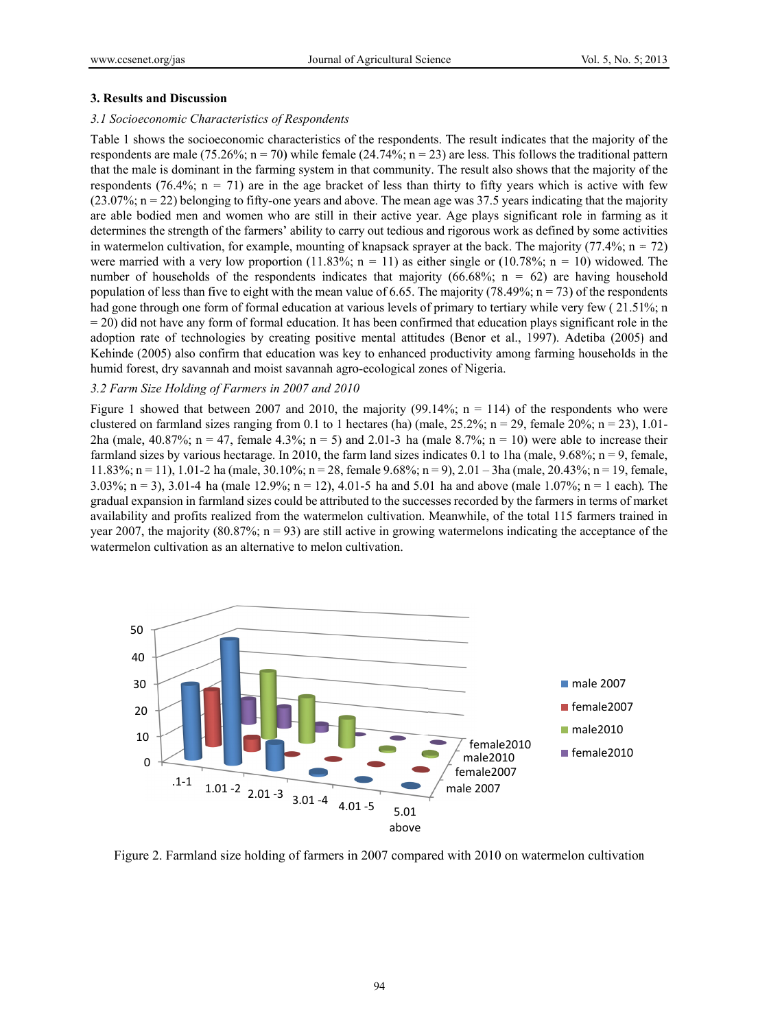#### 3. Results and Discussion

#### 3.1 Socioeconomic Characteristics of Respondents

Table 1 shows the socioeconomic characteristics of the respondents. The result indicates that the majority of the respondents are male (75.26%;  $n = 70$ ) while female (24.74%;  $n = 23$ ) are less. This follows the traditional pattern that the male is dominant in the farming system in that community. The result also shows that the majority of the respondents (76.4%;  $n = 71$ ) are in the age bracket of less than thirty to fifty years which is active with few  $(23.07\%; n = 22)$  belonging to fifty-one years and above. The mean age was 37.5 years indicating that the majority are able bodied men and women who are still in their active year. Age plays significant role in farming as it determines the strength of the farmers' ability to carry out tedious and rigorous work as defined by some activities in watermelon cultivation, for example, mounting of knapsack sprayer at the back. The majority  $(77.4\%; n = 72)$ were married with a very low proportion (11.83%;  $n = 11$ ) as either single or (10.78%;  $n = 10$ ) widowed. The number of households of the respondents indicates that majority  $(66.68\%; n = 62)$  are having household population of less than five to eight with the mean value of 6.65. The majority (78.49%;  $n = 73$ ) of the respondents had gone through one form of formal education at various levels of primary to tertiary while very few (21.51%; n  $=$  20) did not have any form of formal education. It has been confirmed that education plays significant role in the adoption rate of technologies by creating positive mental attitudes (Benor et al., 1997). Adetiba (2005) and Kehinde (2005) also confirm that education was key to enhanced productivity among farming households in the humid forest, dry savannah and moist savannah agro-ecological zones of Nigeria.

## 3.2 Farm Size Holding of Farmers in 2007 and 2010

Figure 1 showed that between 2007 and 2010, the majority (99.14%;  $n = 114$ ) of the respondents who were clustered on farmland sizes ranging from 0.1 to 1 hectares (ha) (male,  $25.2\%$ ; n = 29, female  $20\%$ ; n = 23), 1.01-2ha (male, 40.87%; n = 47, female 4.3%; n = 5) and 2.01-3 ha (male 8.7%; n = 10) were able to increase their farmland sizes by various hectarage. In 2010, the farm land sizes indicates 0.1 to 1ha (male,  $9.68\%$ ; n = 9, female, 11.83%; n = 11), 1.01-2 ha (male, 30.10%; n = 28, female 9.68%; n = 9), 2.01 - 3ha (male, 20.43%; n = 19, female, 3.03%; n = 3), 3.01-4 ha (male 12.9%; n = 12), 4.01-5 ha and 5.01 ha and above (male 1.07%; n = 1 each). The gradual expansion in farmland sizes could be attributed to the successes recorded by the farmers in terms of market availability and profits realized from the watermelon cultivation. Meanwhile, of the total 115 farmers trained in year 2007, the majority (80.87%;  $n = 93$ ) are still active in growing watermelons indicating the acceptance of the watermelon cultivation as an alternative to melon cultivation.



Figure 2. Farmland size holding of farmers in 2007 compared with 2010 on watermelon cultivation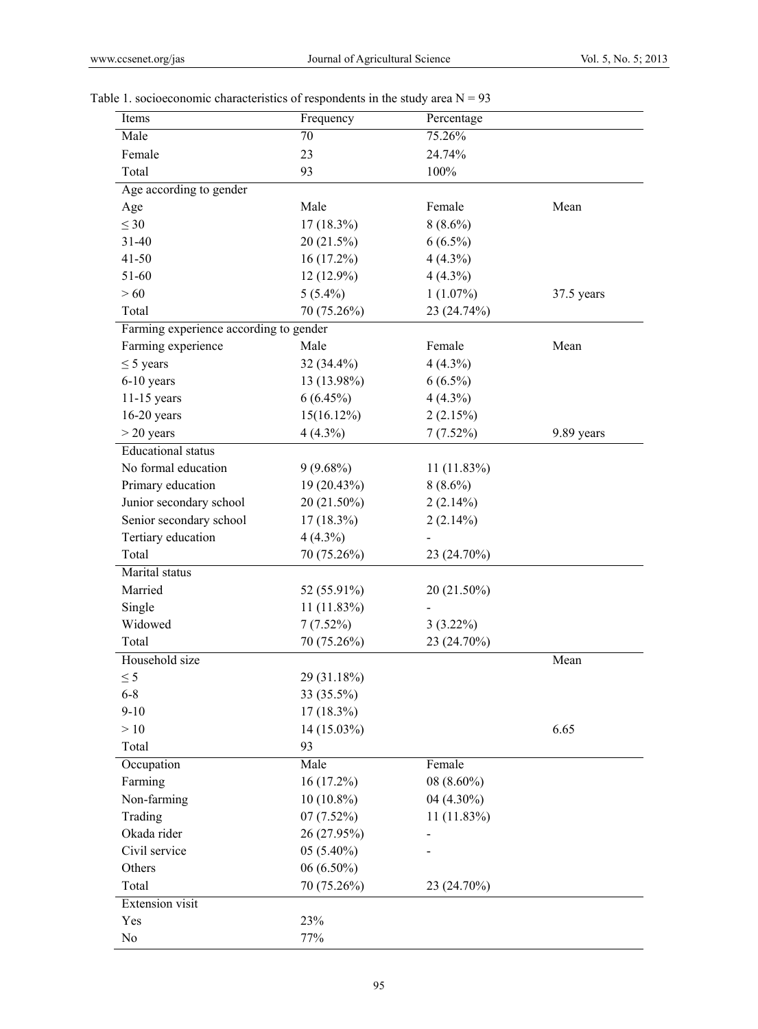| Items                                  | Frequency     | Percentage    |            |
|----------------------------------------|---------------|---------------|------------|
| Male                                   | 70            | 75.26%        |            |
| Female                                 | 23            | 24.74%        |            |
| Total                                  | 93            | 100%          |            |
| Age according to gender                |               |               |            |
| Age                                    | Male          | Female        | Mean       |
| $\leq 30$                              | $17(18.3\%)$  | $8(8.6\%)$    |            |
| $31 - 40$                              | 20 (21.5%)    | $6(6.5\%)$    |            |
| $41 - 50$                              | $16(17.2\%)$  | $4(4.3\%)$    |            |
| 51-60                                  | $12(12.9\%)$  | $4(4.3\%)$    |            |
| >60                                    | $5(5.4\%)$    | $1(1.07\%)$   | 37.5 years |
| Total                                  | 70 (75.26%)   | 23 (24.74%)   |            |
| Farming experience according to gender |               |               |            |
| Farming experience                     | Male          | Female        | Mean       |
| $\leq$ 5 years                         | 32 (34.4%)    | $4(4.3\%)$    |            |
| 6-10 years                             | 13 (13.98%)   | $6(6.5\%)$    |            |
| $11-15$ years                          | $6(6.45\%)$   | $4(4.3\%)$    |            |
| $16-20$ years                          | 15(16.12%)    | 2(2.15%)      |            |
| $>$ 20 years                           |               |               | 9.89 years |
|                                        | $4(4.3\%)$    | 7(7.52%)      |            |
| <b>Educational</b> status              |               |               |            |
| No formal education                    | $9(9.68\%)$   | $11(11.83\%)$ |            |
| Primary education                      | 19 (20.43%)   | $8(8.6\%)$    |            |
| Junior secondary school                | 20 (21.50%)   | $2(2.14\%)$   |            |
| Senior secondary school                | $17(18.3\%)$  | 2(2.14%)      |            |
| Tertiary education                     | $4(4.3\%)$    |               |            |
| Total                                  | 70 (75.26%)   | 23 (24.70%)   |            |
| Marital status                         |               |               |            |
| Married                                | 52 (55.91%)   | 20 (21.50%)   |            |
| Single                                 | $11(11.83\%)$ |               |            |
| Widowed                                | 7(7.52%)      | $3(3.22\%)$   |            |
| Total                                  | 70 (75.26%)   | 23 (24.70%)   |            |
| Household size                         |               |               | Mean       |
| $\leq$ 5                               | 29 (31.18%)   |               |            |
| $6 - 8$                                | 33 (35.5%)    |               |            |
| $9 - 10$                               | $17(18.3\%)$  |               |            |
| $>10$                                  | 14 (15.03%)   |               | 6.65       |
| Total                                  | 93            |               |            |
| Occupation                             | Male          | Female        |            |
| Farming                                | 16 (17.2%)    | $08(8.60\%)$  |            |
| Non-farming                            | $10(10.8\%)$  | 04 (4.30%)    |            |
| Trading                                | 07(7.52%)     | $11(11.83\%)$ |            |
| Okada rider                            | 26 (27.95%)   |               |            |
| Civil service                          | $05(5.40\%)$  |               |            |
| Others                                 | $06(6.50\%)$  |               |            |
| Total                                  | 70 (75.26%)   | 23 (24.70%)   |            |
| <b>Extension</b> visit                 |               |               |            |
| Yes                                    | 23%           |               |            |
| No                                     | 77%           |               |            |
|                                        |               |               |            |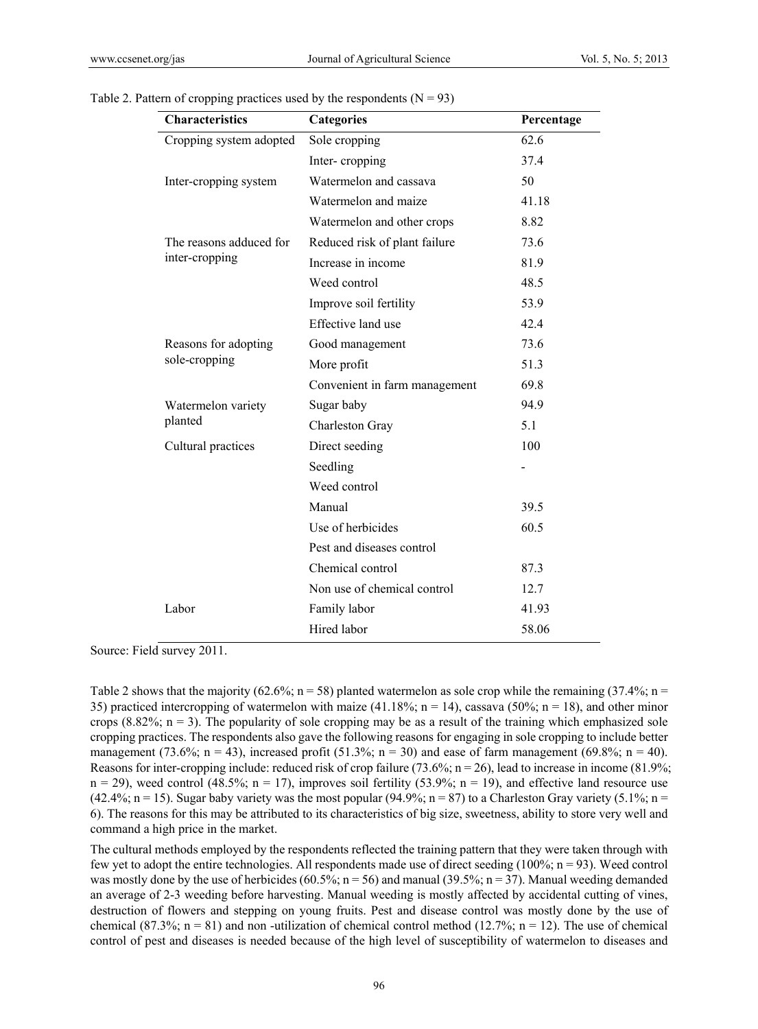| <b>Characteristics</b>                                                                                         | Categories                    | Percentage |
|----------------------------------------------------------------------------------------------------------------|-------------------------------|------------|
| Cropping system adopted                                                                                        | Sole cropping                 | 62.6       |
|                                                                                                                | Inter-cropping                | 37.4       |
| Inter-cropping system                                                                                          | Watermelon and cassava        | 50         |
|                                                                                                                | Watermelon and maize          | 41.18      |
|                                                                                                                | Watermelon and other crops    | 8.82       |
| The reasons adduced for                                                                                        | Reduced risk of plant failure | 73.6       |
| inter-cropping<br>Reasons for adopting<br>sole-cropping<br>Watermelon variety<br>planted<br>Cultural practices | Increase in income            | 81.9       |
|                                                                                                                | Weed control                  | 48.5       |
|                                                                                                                | Improve soil fertility        | 53.9       |
|                                                                                                                | Effective land use            | 42.4       |
|                                                                                                                | Good management               | 73.6       |
|                                                                                                                | More profit                   | 51.3       |
|                                                                                                                | Convenient in farm management | 69.8       |
|                                                                                                                | Sugar baby                    | 94.9       |
|                                                                                                                | Charleston Gray               | 5.1        |
|                                                                                                                | Direct seeding                | 100        |
|                                                                                                                | Seedling                      |            |
|                                                                                                                | Weed control                  |            |
|                                                                                                                | Manual                        | 39.5       |
|                                                                                                                | Use of herbicides             | 60.5       |
|                                                                                                                | Pest and diseases control     |            |
|                                                                                                                | Chemical control              | 87.3       |
|                                                                                                                | Non use of chemical control   | 12.7       |
| Labor                                                                                                          | Family labor                  | 41.93      |
|                                                                                                                | Hired labor                   | 58.06      |

Table 2. Pattern of cropping practices used by the respondents  $(N = 93)$ 

Source: Field survey 2011.

Table 2 shows that the majority (62.6%;  $n = 58$ ) planted watermelon as sole crop while the remaining (37.4%;  $n =$ 35) practiced intercropping of watermelon with maize (41.18%; n = 14), cassava (50%; n = 18), and other minor crops  $(8.82\%; n = 3)$ . The popularity of sole cropping may be as a result of the training which emphasized sole cropping practices. The respondents also gave the following reasons for engaging in sole cropping to include better management (73.6%; n = 43), increased profit (51.3%; n = 30) and ease of farm management (69.8%; n = 40). Reasons for inter-cropping include: reduced risk of crop failure (73.6%; n = 26), lead to increase in income (81.9%;  $n = 29$ , weed control (48.5%;  $n = 17$ ), improves soil fertility (53.9%;  $n = 19$ ), and effective land resource use (42.4%; n = 15). Sugar baby variety was the most popular (94.9%; n = 87) to a Charleston Gray variety (5.1%; n = 6). The reasons for this may be attributed to its characteristics of big size, sweetness, ability to store very well and command a high price in the market.

The cultural methods employed by the respondents reflected the training pattern that they were taken through with few yet to adopt the entire technologies. All respondents made use of direct seeding (100%;  $n = 93$ ). Weed control was mostly done by the use of herbicides (60.5%; n = 56) and manual (39.5%; n = 37). Manual weeding demanded an average of 2-3 weeding before harvesting. Manual weeding is mostly affected by accidental cutting of vines, destruction of flowers and stepping on young fruits. Pest and disease control was mostly done by the use of chemical (87.3%;  $n = 81$ ) and non-utilization of chemical control method (12.7%;  $n = 12$ ). The use of chemical control of pest and diseases is needed because of the high level of susceptibility of watermelon to diseases and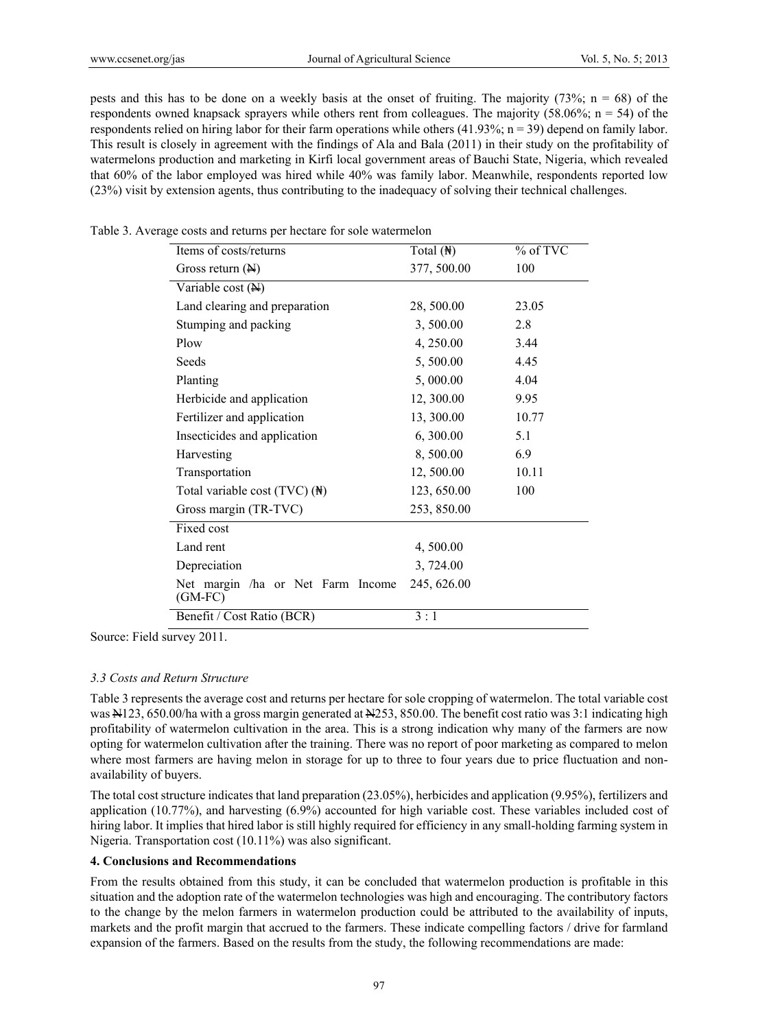pests and this has to be done on a weekly basis at the onset of fruiting. The majority (73%; n = 68) of the respondents owned knapsack sprayers while others rent from colleagues. The majority (58.06%;  $n = 54$ ) of the respondents relied on hiring labor for their farm operations while others (41.93%;  $n = 39$ ) depend on family labor. This result is closely in agreement with the findings of Ala and Bala (2011) in their study on the profitability of watermelons production and marketing in Kirfi local government areas of Bauchi State, Nigeria, which revealed that 60% of the labor employed was hired while 40% was family labor. Meanwhile, respondents reported low (23%) visit by extension agents, thus contributing to the inadequacy of solving their technical challenges.

| Items of costs/returns                         | Total $(\mathbb{H})$ | $%$ of TVC |
|------------------------------------------------|----------------------|------------|
| Gross return $(\mathbb{H})$                    | 377, 500.00          | 100        |
| Variable cost $(\mathbb{H})$                   |                      |            |
| Land clearing and preparation                  | 28, 500.00           | 23.05      |
| Stumping and packing                           | 3,500.00             | 2.8        |
| Plow                                           | 4, 250.00            | 3.44       |
| Seeds                                          | 5,500.00             | 4.45       |
| Planting                                       | 5,000.00             | 4.04       |
| Herbicide and application                      | 12, 300.00           | 9.95       |
| Fertilizer and application                     | 13, 300.00           | 10.77      |
| Insecticides and application                   | 6,300.00             | 5.1        |
| Harvesting                                     | 8,500.00             | 6.9        |
| Transportation                                 | 12,500.00            | 10.11      |
| Total variable cost $(TVC)$ ( $\mathbb{H}$ )   | 123, 650.00          | 100        |
| Gross margin (TR-TVC)                          | 253, 850.00          |            |
| Fixed cost                                     |                      |            |
| Land rent                                      | 4,500.00             |            |
| Depreciation                                   | 3,724.00             |            |
| Net margin /ha or Net Farm Income<br>$(GM-FC)$ | 245, 626.00          |            |
| Benefit / Cost Ratio (BCR)                     | 3:1                  |            |

Table 3. Average costs and returns per hectare for sole watermelon

Source: Field survey 2011.

#### *3.3 Costs and Return Structure*

Table 3 represents the average cost and returns per hectare for sole cropping of watermelon. The total variable cost was N123, 650.00/ha with a gross margin generated at N253, 850.00. The benefit cost ratio was 3:1 indicating high profitability of watermelon cultivation in the area. This is a strong indication why many of the farmers are now opting for watermelon cultivation after the training. There was no report of poor marketing as compared to melon where most farmers are having melon in storage for up to three to four years due to price fluctuation and nonavailability of buyers.

The total cost structure indicates that land preparation (23.05%), herbicides and application (9.95%), fertilizers and application (10.77%), and harvesting (6.9%) accounted for high variable cost. These variables included cost of hiring labor. It implies that hired labor is still highly required for efficiency in any small-holding farming system in Nigeria. Transportation cost (10.11%) was also significant.

## **4. Conclusions and Recommendations**

From the results obtained from this study, it can be concluded that watermelon production is profitable in this situation and the adoption rate of the watermelon technologies was high and encouraging. The contributory factors to the change by the melon farmers in watermelon production could be attributed to the availability of inputs, markets and the profit margin that accrued to the farmers. These indicate compelling factors / drive for farmland expansion of the farmers. Based on the results from the study, the following recommendations are made: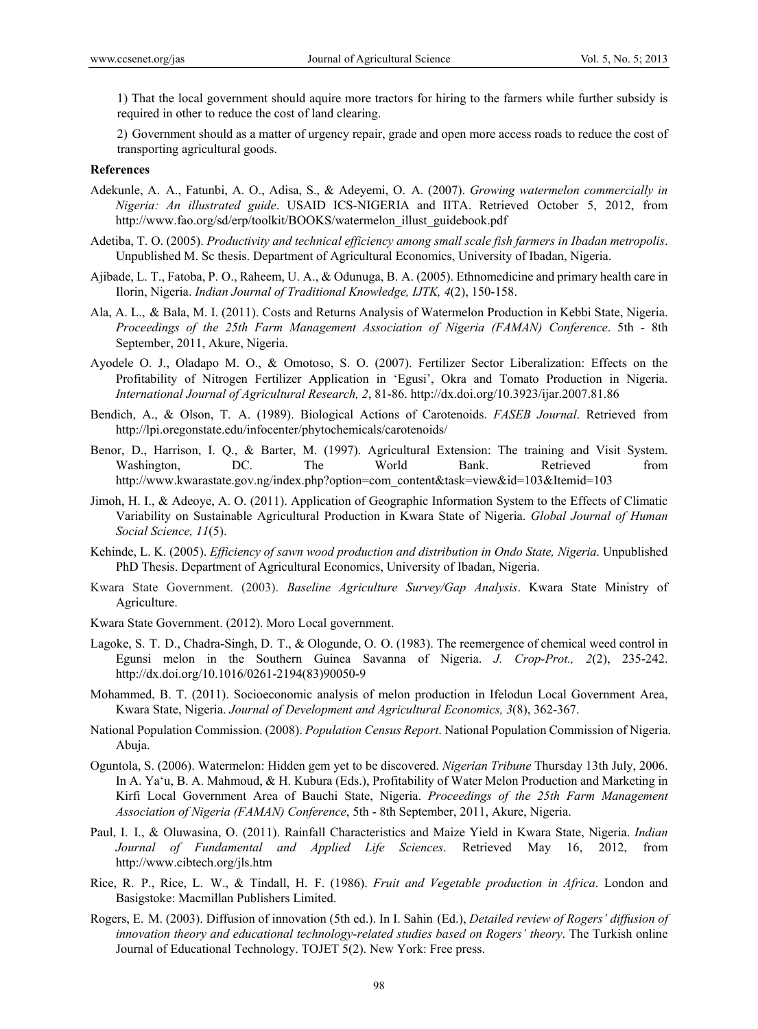1) That the local government should aquire more tractors for hiring to the farmers while further subsidy is required in other to reduce the cost of land clearing.

2) Government should as a matter of urgency repair, grade and open more access roads to reduce the cost of transporting agricultural goods.

#### **References**

- Adekunle, A. A., Fatunbi, A. O., Adisa, S., & Adeyemi, O. A. (2007). *Growing watermelon commercially in Nigeria: An illustrated guide*. USAID ICS-NIGERIA and IITA. Retrieved October 5, 2012, from http://www.fao.org/sd/erp/toolkit/BOOKS/watermelon\_illust\_guidebook.pdf
- Adetiba, T. O. (2005). *Productivity and technical efficiency among small scale fish farmers in Ibadan metropolis*. Unpublished M. Sc thesis. Department of Agricultural Economics, University of Ibadan, Nigeria.
- Ajibade, L. T., Fatoba, P. O., Raheem, U. A., & Odunuga, B. A. (2005). Ethnomedicine and primary health care in Ilorin, Nigeria. *Indian Journal of Traditional Knowledge, IJTK, 4*(2), 150-158.
- Ala, A. L., & Bala, M. I. (2011). Costs and Returns Analysis of Watermelon Production in Kebbi State, Nigeria. *Proceedings of the 25th Farm Management Association of Nigeria (FAMAN) Conference*. 5th - 8th September, 2011, Akure, Nigeria.
- Ayodele O. J., Oladapo M. O., & Omotoso, S. O. (2007). Fertilizer Sector Liberalization: Effects on the Profitability of Nitrogen Fertilizer Application in 'Egusi', Okra and Tomato Production in Nigeria. *International Journal of Agricultural Research, 2*, 81-86. http://dx.doi.org/10.3923/ijar.2007.81.86
- Bendich, A., & Olson, T. A. (1989). Biological Actions of Carotenoids. *FASEB Journal*. Retrieved from http://lpi.oregonstate.edu/infocenter/phytochemicals/carotenoids/
- Benor, D., Harrison, I. Q., & Barter, M. (1997). Agricultural Extension: The training and Visit System. Washington, DC. The World Bank. Retrieved from http://www.kwarastate.gov.ng/index.php?option=com\_content&task=view&id=103&Itemid=103
- Jimoh, H. I., & Adeoye, A. O. (2011). Application of Geographic Information System to the Effects of Climatic Variability on Sustainable Agricultural Production in Kwara State of Nigeria. *Global Journal of Human Social Science, 11*(5).
- Kehinde, L. K. (2005). *Efficiency of sawn wood production and distribution in Ondo State, Nigeria*. Unpublished PhD Thesis. Department of Agricultural Economics, University of Ibadan, Nigeria.
- Kwara State Government. (2003). *Baseline Agriculture Survey/Gap Analysis*. Kwara State Ministry of Agriculture.
- Kwara State Government. (2012). Moro Local government.
- Lagoke, S. T. D., Chadra-Singh, D. T., & Ologunde, O. O. (1983). The reemergence of chemical weed control in Egunsi melon in the Southern Guinea Savanna of Nigeria. *J. Crop-Prot., 2*(2), 235-242. http://dx.doi.org/10.1016/0261-2194(83)90050-9
- Mohammed, B. T. (2011). Socioeconomic analysis of melon production in Ifelodun Local Government Area, Kwara State, Nigeria. *Journal of Development and Agricultural Economics, 3*(8), 362-367.
- National Population Commission. (2008). *Population Census Report*. National Population Commission of Nigeria. Abuja.
- Oguntola, S. (2006). Watermelon: Hidden gem yet to be discovered. *Nigerian Tribune* Thursday 13th July, 2006. In A. Ya'u, B. A. Mahmoud, & H. Kubura (Eds.), Profitability of Water Melon Production and Marketing in Kirfi Local Government Area of Bauchi State, Nigeria. *Proceedings of the 25th Farm Management Association of Nigeria (FAMAN) Conference*, 5th - 8th September, 2011, Akure, Nigeria.
- Paul, I. I., & Oluwasina, O. (2011). Rainfall Characteristics and Maize Yield in Kwara State, Nigeria. *Indian Journal of Fundamental and Applied Life Sciences*. Retrieved May 16, 2012, from http://www.cibtech.org/jls.htm
- Rice, R. P., Rice, L. W., & Tindall, H. F. (1986). *Fruit and Vegetable production in Africa*. London and Basigstoke: Macmillan Publishers Limited.
- Rogers, E. M. (2003). Diffusion of innovation (5th ed.). In I. Sahin (Ed.), *Detailed review of Rogers' diffusion of innovation theory and educational technology-related studies based on Rogers' theory*. The Turkish online Journal of Educational Technology. TOJET 5(2). New York: Free press.